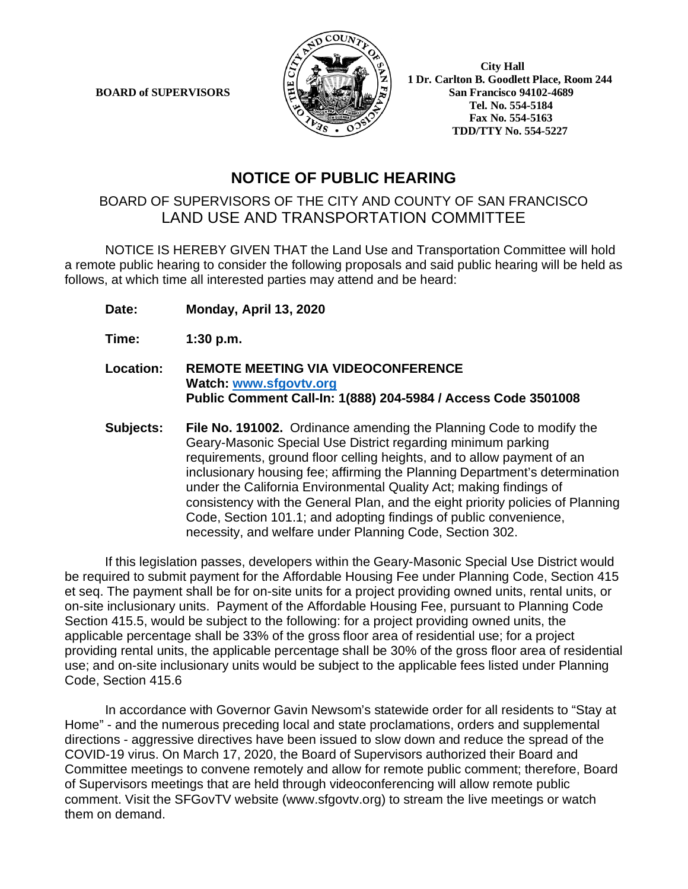**BOARD of SUPERVISORS** 



 **1 Dr. Carlton B. Goodlett Place, Room 244 Tel. No. 554-5184 Fax No. 554-5163 TDD/TTY No. 554-5227**

# **NOTICE OF PUBLIC HEARING**

## BOARD OF SUPERVISORS OF THE CITY AND COUNTY OF SAN FRANCISCO LAND USE AND TRANSPORTATION COMMITTEE

NOTICE IS HEREBY GIVEN THAT the Land Use and Transportation Committee will hold a remote public hearing to consider the following proposals and said public hearing will be held as follows, at which time all interested parties may attend and be heard:

**Date: Monday, April 13, 2020**

- **Time: 1:30 p.m.**
- **Location: REMOTE MEETING VIA VIDEOCONFERENCE Watch: [www.sfgovtv.org](http://www.sfgovtv.org/) Public Comment Call-In: 1(888) 204-5984 / Access Code 3501008**
- **Subjects: File No. 191002.** Ordinance amending the Planning Code to modify the Geary-Masonic Special Use District regarding minimum parking requirements, ground floor celling heights, and to allow payment of an inclusionary housing fee; affirming the Planning Department's determination under the California Environmental Quality Act; making findings of consistency with the General Plan, and the eight priority policies of Planning Code, Section 101.1; and adopting findings of public convenience, necessity, and welfare under Planning Code, Section 302.

If this legislation passes, developers within the Geary-Masonic Special Use District would be required to submit payment for the Affordable Housing Fee under Planning Code, Section 415 et seq. The payment shall be for on-site units for a project providing owned units, rental units, or on-site inclusionary units. Payment of the Affordable Housing Fee, pursuant to Planning Code Section 415.5, would be subject to the following: for a project providing owned units, the applicable percentage shall be 33% of the gross floor area of residential use; for a project providing rental units, the applicable percentage shall be 30% of the gross floor area of residential use; and on-site inclusionary units would be subject to the applicable fees listed under Planning Code, Section 415.6

In accordance with Governor Gavin Newsom's statewide order for all residents to "Stay at Home" - and the numerous preceding local and state proclamations, orders and supplemental directions - aggressive directives have been issued to slow down and reduce the spread of the COVID-19 virus. On March 17, 2020, the Board of Supervisors authorized their Board and Committee meetings to convene remotely and allow for remote public comment; therefore, Board of Supervisors meetings that are held through videoconferencing will allow remote public comment. Visit the SFGovTV website (www.sfgovtv.org) to stream the live meetings or watch them on demand.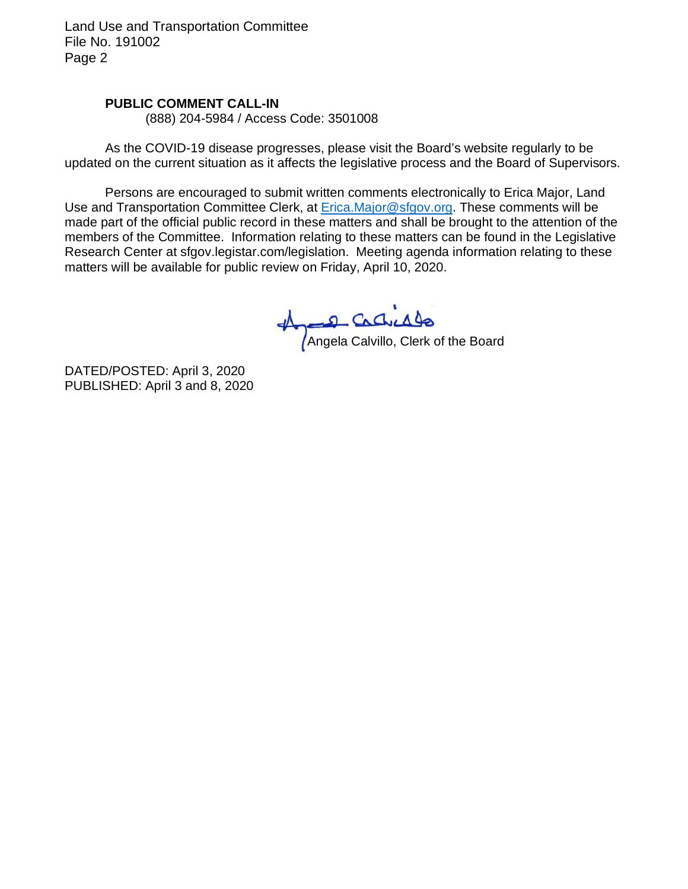Land Use and Transportation Committee File No. 191002 Page 2

### **PUBLIC COMMENT CALL-IN**

(888) 204-5984 / Access Code: 3501008

As the COVID-19 disease progresses, please visit the Board's website regularly to be updated on the current situation as it affects the legislative process and the Board of Supervisors.

Persons are encouraged to submit written comments electronically to Erica Major, Land Use and Transportation Committee Clerk, at **Erica.Major@sfgov.org**. These comments will be made part of the official public record in these matters and shall be brought to the attention of the members of the Committee. Information relating to these matters can be found in the Legislative Research Center at sfgov.legistar.com/legislation. Meeting agenda information relating to these matters will be available for public review on Friday, April 10, 2020.

Angela Cache As<br>Angela Calvillo, Clerk of the Board

DATED/POSTED: April 3, 2020 PUBLISHED: April 3 and 8, 2020